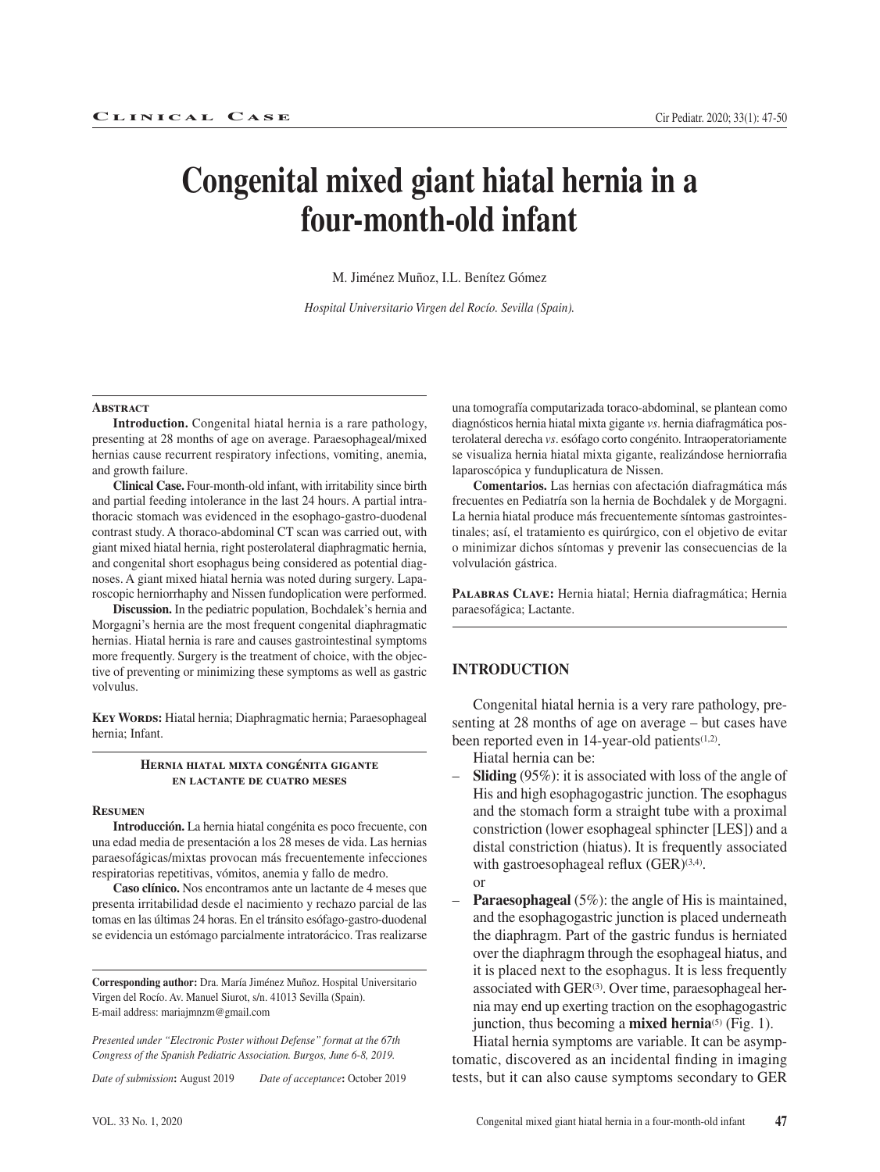# **Congenital mixed giant hiatal hernia in a four-month-old infant**

M. Jiménez Muñoz, I.L. Benítez Gómez

*Hospital Universitario Virgen del Rocío. Sevilla (Spain).*

#### **Abstract**

**Introduction.** Congenital hiatal hernia is a rare pathology, presenting at 28 months of age on average. Paraesophageal/mixed hernias cause recurrent respiratory infections, vomiting, anemia, and growth failure.

**Clinical Case.** Four-month-old infant, with irritability since birth and partial feeding intolerance in the last 24 hours. A partial intrathoracic stomach was evidenced in the esophago-gastro-duodenal contrast study. A thoraco-abdominal CT scan was carried out, with giant mixed hiatal hernia, right posterolateral diaphragmatic hernia, and congenital short esophagus being considered as potential diagnoses. A giant mixed hiatal hernia was noted during surgery. Laparoscopic herniorrhaphy and Nissen fundoplication were performed.

**Discussion.** In the pediatric population, Bochdalek's hernia and Morgagni's hernia are the most frequent congenital diaphragmatic hernias. Hiatal hernia is rare and causes gastrointestinal symptoms more frequently. Surgery is the treatment of choice, with the objective of preventing or minimizing these symptoms as well as gastric volvulus.

**Key Words:** Hiatal hernia; Diaphragmatic hernia; Paraesophageal hernia; Infant.

#### **Hernia hiatal mixta congénita gigante en lactante de cuatro meses**

#### **Resumen**

**Introducción.** La hernia hiatal congénita es poco frecuente, con una edad media de presentación a los 28 meses de vida. Las hernias paraesofágicas/mixtas provocan más frecuentemente infecciones respiratorias repetitivas, vómitos, anemia y fallo de medro.

**Caso clínico.** Nos encontramos ante un lactante de 4 meses que presenta irritabilidad desde el nacimiento y rechazo parcial de las tomas en las últimas 24 horas. En el tránsito esófago-gastro-duodenal se evidencia un estómago parcialmente intratorácico. Tras realizarse

**Corresponding author:** Dra. María Jiménez Muñoz. Hospital Universitario Virgen del Rocío. Av. Manuel Siurot, s/n. 41013 Sevilla (Spain). E-mail address: mariajmnzm@gmail.com

*Presented under "Electronic Poster without Defense" format at the 67th Congress of the Spanish Pediatric Association. Burgos, June 6-8, 2019.*

*Date of submission***:** August 2019 *Date of acceptance***:** October 2019

una tomografía computarizada toraco-abdominal, se plantean como diagnósticos hernia hiatal mixta gigante *vs*. hernia diafragmática posterolateral derecha *vs*. esófago corto congénito. Intraoperatoriamente se visualiza hernia hiatal mixta gigante, realizándose herniorrafia laparoscópica y funduplicatura de Nissen.

**Comentarios.** Las hernias con afectación diafragmática más frecuentes en Pediatría son la hernia de Bochdalek y de Morgagni. La hernia hiatal produce más frecuentemente síntomas gastrointestinales; así, el tratamiento es quirúrgico, con el objetivo de evitar o minimizar dichos síntomas y prevenir las consecuencias de la volvulación gástrica.

**Palabras Clave:** Hernia hiatal; Hernia diafragmática; Hernia paraesofágica; Lactante.

#### **INTRODUCTION**

Congenital hiatal hernia is a very rare pathology, presenting at 28 months of age on average – but cases have been reported even in 14-year-old patients $(1,2)$ .

Hiatal hernia can be:

- **Sliding** (95%): it is associated with loss of the angle of His and high esophagogastric junction. The esophagus and the stomach form a straight tube with a proximal constriction (lower esophageal sphincter [LES]) and a distal constriction (hiatus). It is frequently associated with gastroesophageal reflux  $(GER)^{(3,4)}$ . or
- **Paraesophageal** (5%): the angle of His is maintained, and the esophagogastric junction is placed underneath the diaphragm. Part of the gastric fundus is herniated over the diaphragm through the esophageal hiatus, and it is placed next to the esophagus. It is less frequently associated with GER<sup>(3)</sup>. Over time, paraesophageal hernia may end up exerting traction on the esophagogastric junction, thus becoming a **mixed hernia**<sup>(5)</sup> (Fig. 1).

Hiatal hernia symptoms are variable. It can be asymptomatic, discovered as an incidental finding in imaging tests, but it can also cause symptoms secondary to GER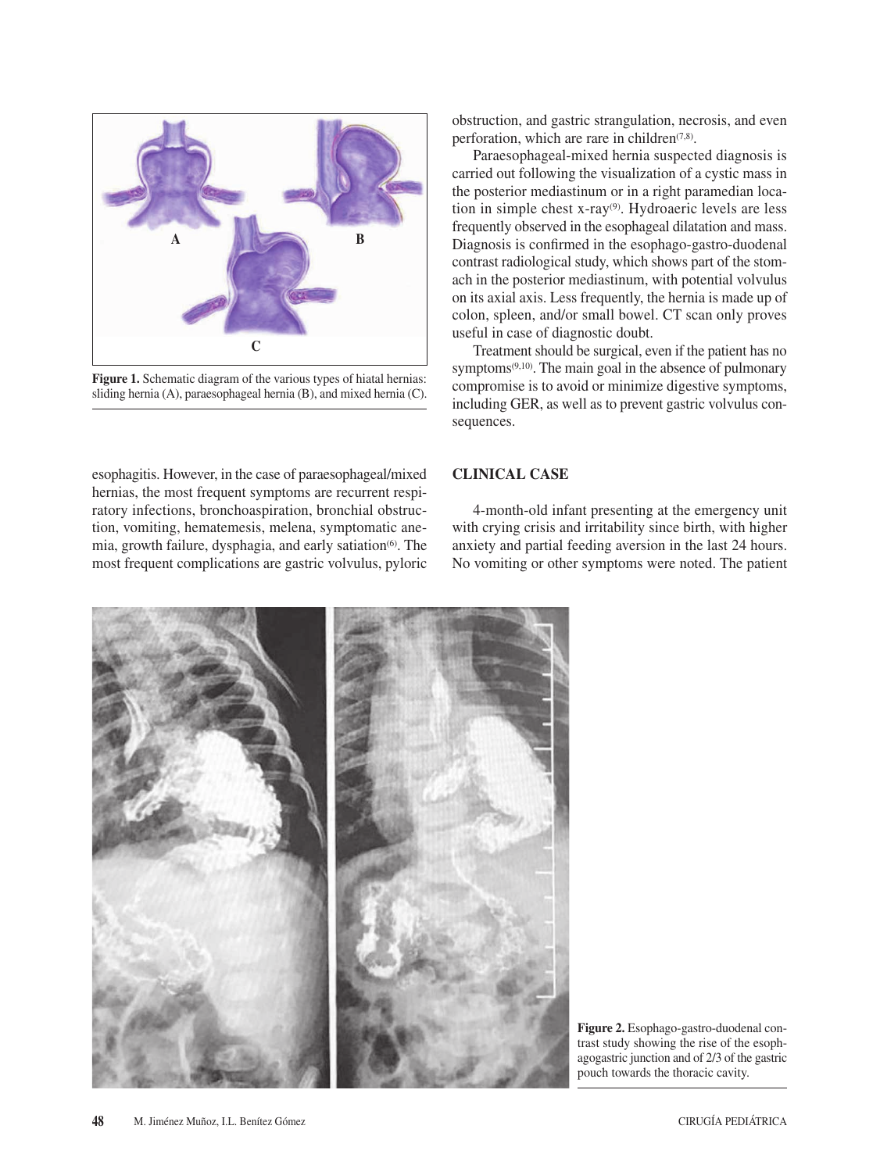

Figure 1. Schematic diagram of the various types of hiatal hernias: sliding hernia (A), paraesophageal hernia (B), and mixed hernia (C).

esophagitis. However, in the case of paraesophageal/mixed hernias, the most frequent symptoms are recurrent respiratory infections, bronchoaspiration, bronchial obstruction, vomiting, hematemesis, melena, symptomatic anemia, growth failure, dysphagia, and early satiation<sup>(6)</sup>. The most frequent complications are gastric volvulus, pyloric

obstruction, and gastric strangulation, necrosis, and even perforation, which are rare in children $(7,8)$ .

Paraesophageal-mixed hernia suspected diagnosis is carried out following the visualization of a cystic mass in the posterior mediastinum or in a right paramedian location in simple chest x-ray<sup>(9)</sup>. Hydroaeric levels are less frequently observed in the esophageal dilatation and mass. Diagnosis is confirmed in the esophago-gastro-duodenal contrast radiological study, which shows part of the stomach in the posterior mediastinum, with potential volvulus on its axial axis. Less frequently, the hernia is made up of colon, spleen, and/or small bowel. CT scan only proves useful in case of diagnostic doubt.

Treatment should be surgical, even if the patient has no symptoms $(9,10)$ . The main goal in the absence of pulmonary compromise is to avoid or minimize digestive symptoms, including GER, as well as to prevent gastric volvulus consequences.

## **CLINICAL CASE**

4-month-old infant presenting at the emergency unit with crying crisis and irritability since birth, with higher anxiety and partial feeding aversion in the last 24 hours. No vomiting or other symptoms were noted. The patient



**Figure 2.** Esophago-gastro-duodenal contrast study showing the rise of the esophagogastric junction and of 2/3 of the gastric pouch towards the thoracic cavity.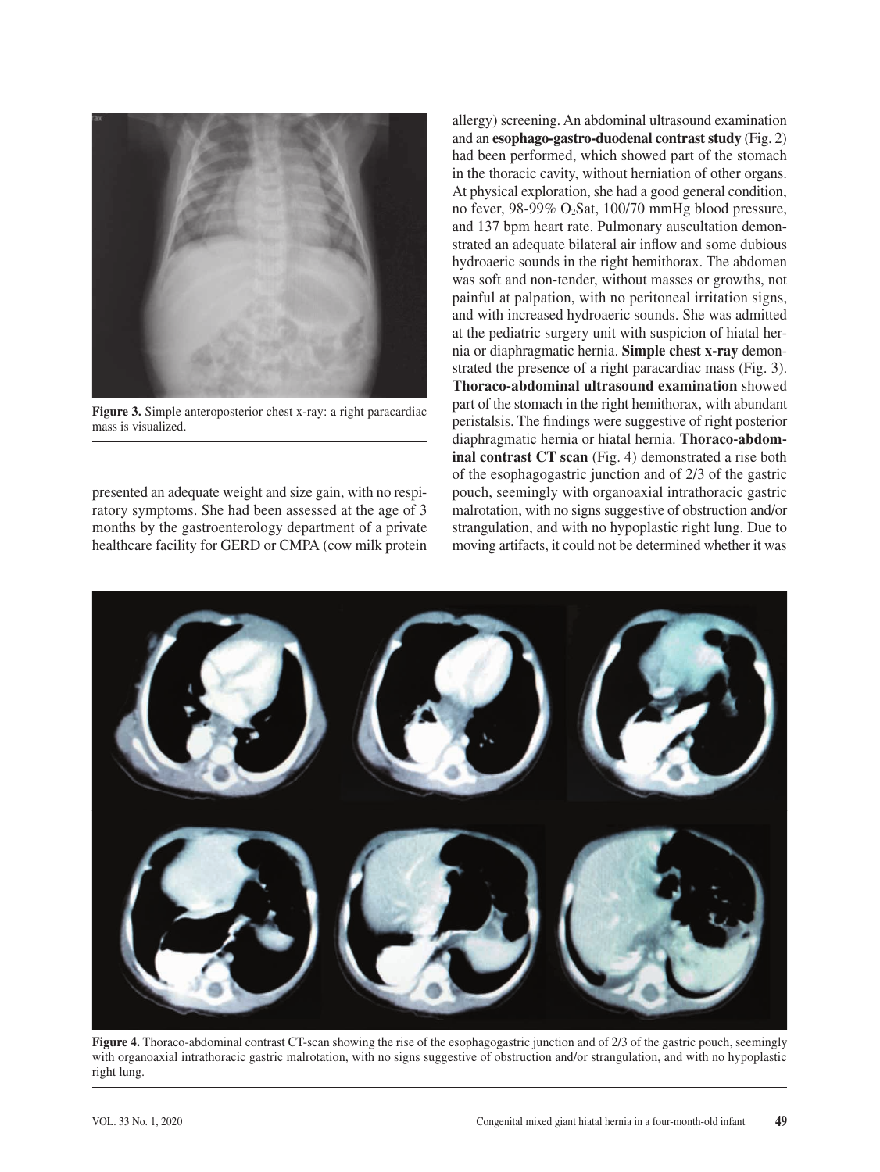

**Figure 3.** Simple anteroposterior chest x-ray: a right paracardiac mass is visualized.

presented an adequate weight and size gain, with no respiratory symptoms. She had been assessed at the age of 3 months by the gastroenterology department of a private healthcare facility for GERD or CMPA (cow milk protein allergy) screening. An abdominal ultrasound examination and an **esophago-gastro-duodenal contrast study** (Fig. 2) had been performed, which showed part of the stomach in the thoracic cavity, without herniation of other organs. At physical exploration, she had a good general condition, no fever, 98-99% O2Sat, 100/70 mmHg blood pressure, and 137 bpm heart rate. Pulmonary auscultation demonstrated an adequate bilateral air inflow and some dubious hydroaeric sounds in the right hemithorax. The abdomen was soft and non-tender, without masses or growths, not painful at palpation, with no peritoneal irritation signs, and with increased hydroaeric sounds. She was admitted at the pediatric surgery unit with suspicion of hiatal hernia or diaphragmatic hernia. **Simple chest x-ray** demonstrated the presence of a right paracardiac mass (Fig. 3). **Thoraco-abdominal ultrasound examination** showed part of the stomach in the right hemithorax, with abundant peristalsis. The findings were suggestive of right posterior diaphragmatic hernia or hiatal hernia. **Thoraco-abdominal contrast CT scan** (Fig. 4) demonstrated a rise both of the esophagogastric junction and of 2/3 of the gastric pouch, seemingly with organoaxial intrathoracic gastric malrotation, with no signs suggestive of obstruction and/or strangulation, and with no hypoplastic right lung. Due to moving artifacts, it could not be determined whether it was



**Figure 4.** Thoraco-abdominal contrast CT-scan showing the rise of the esophagogastric junction and of 2/3 of the gastric pouch, seemingly with organoaxial intrathoracic gastric malrotation, with no signs suggestive of obstruction and/or strangulation, and with no hypoplastic right lung.